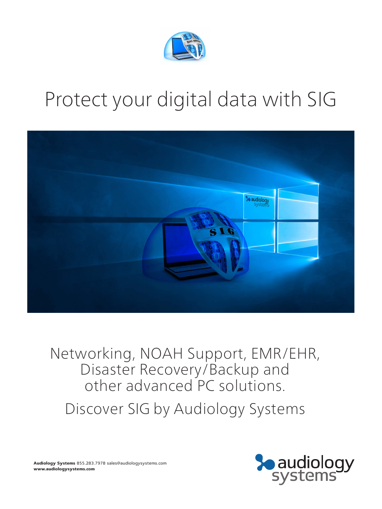

# Protect your digital data with SIG



Networking, NOAH Support, EMR/EHR, Disaster Recovery/Backup and other advanced PC solutions.

Discover SIG by Audiology Systems



**Audiology Systems** 855.283.7978 sales@audiologysystems.com **www.audiologysystems.com**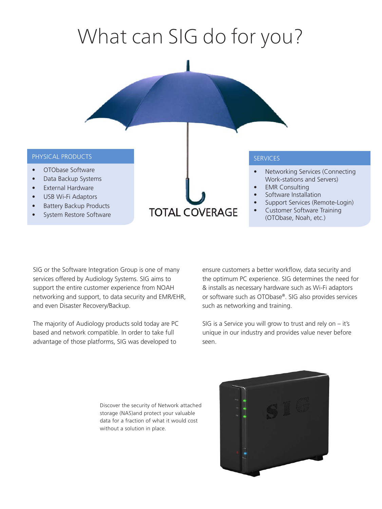# What can SIG do for you?



• Customer Software Training (OTObase, Noah, etc.)

SIG or the Software Integration Group is one of many services offered by Audiology Systems. SIG aims to support the entire customer experience from NOAH networking and support, to data security and EMR/EHR, and even Disaster Recovery/Backup.

System Restore Software

The majority of Audiology products sold today are PC based and network compatible. In order to take full advantage of those platforms, SIG was developed to

ensure customers a better workflow, data security and the optimum PC experience. SIG determines the need for & installs as necessary hardware such as Wi-Fi adaptors or software such as OTObase®. SIG also provides services such as networking and training.

SIG is a Service you will grow to trust and rely on – it's unique in our industry and provides value never before seen.

Discover the security of Network attached storage (NAS)and protect your valuable data for a fraction of what it would cost without a solution in place.

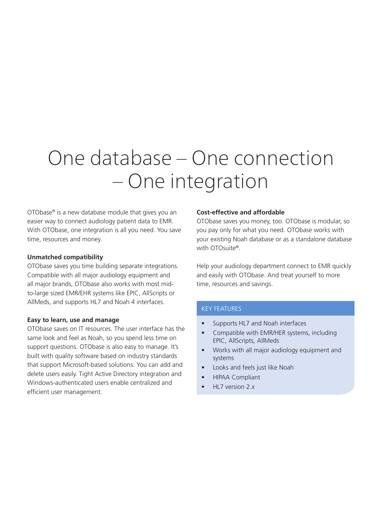## One database – One connection – One integration

OTObase® is a new database module that gives you an easier way to connect audiology patient data to EMR. With OTObase, one integration is all you need. You save time, resources and money.

#### **Unmatched compatibility**

OTObase saves you time building separate integrations. Compatible with all major audiology equipment and all major brands, OTObase also works with most midto-large sized EMR/EHR systems like EPIC, AllScripts or AllMeds, and supports HL7 and Noah 4 interfaces.

#### **Easy to learn, use and manage**

OTObase saves on IT resources. The user interface has the same look and feel as Noah, so you spend less time on support questions. OTObase is also easy to manage. It's built with quality software based on industry standards that support Microsoft-based solutions. You can add and delete users easily. Tight Active Directory integration and Windows-authenticated users enable centralized and efficient user management.

#### **Cost-effective and affordable**

OTObase saves you money, too. OTObase is modular, so you pay only for what you need. OTObase works with your existing Noah database or as a standalone database with OTOsuite®.

Help your audiology department connect to EMR quickly and easily with OTObase. And treat yourself to more time, resources and savings.

#### KEY FEATURES

- Supports HL7 and Noah interfaces
- Compatible with EMR/HER systems, including EPIC, AllScripts, AllMeds
- Works with all major audiology equipment and systems
- Looks and feels just like Noah
- HIPAA Compliant
- HL7 version 2.x